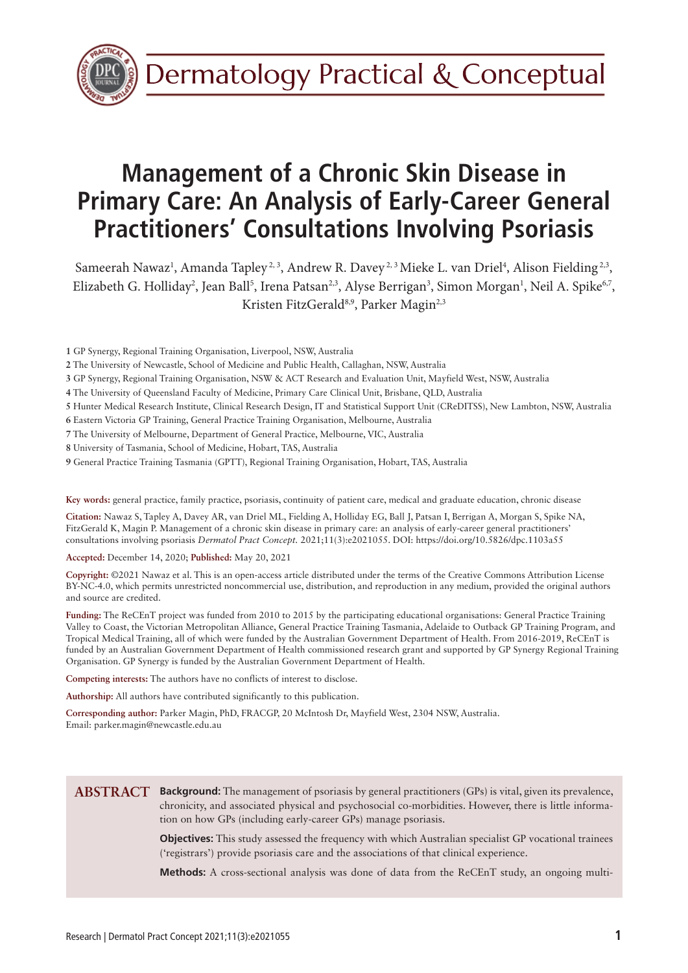

# **Management of a Chronic Skin Disease in Primary Care: An Analysis of Early-Career General Practitioners' Consultations Involving Psoriasis**

Sameerah Nawaz<sup>1</sup>, Amanda Tapley<sup>2, 3</sup>, Andrew R. Davey<sup>2, 3</sup> Mieke L. van Driel<sup>4</sup>, Alison Fielding<sup>2,3</sup>, Elizabeth G. Holliday<sup>2</sup>, Jean Ball<sup>5</sup>, Irena Patsan<sup>2,3</sup>, Alyse Berrigan<sup>3</sup>, Simon Morgan<sup>1</sup>, Neil A. Spike<sup>6,7</sup>, Kristen FitzGerald<sup>8,9</sup>, Parker Magin<sup>2,3</sup>

**1** GP Synergy, Regional Training Organisation, Liverpool, NSW, Australia

- **2** The University of Newcastle, School of Medicine and Public Health, Callaghan, NSW, Australia
- **3** GP Synergy, Regional Training Organisation, NSW & ACT Research and Evaluation Unit, Mayfield West, NSW, Australia
- **4** The University of Queensland Faculty of Medicine, Primary Care Clinical Unit, Brisbane, QLD, Australia
- **5** Hunter Medical Research Institute, Clinical Research Design, IT and Statistical Support Unit (CReDITSS), New Lambton, NSW, Australia

**6** Eastern Victoria GP Training, General Practice Training Organisation, Melbourne, Australia

**7** The University of Melbourne, Department of General Practice, Melbourne, VIC, Australia

**8** University of Tasmania, School of Medicine, Hobart, TAS, Australia

**9** General Practice Training Tasmania (GPTT), Regional Training Organisation, Hobart, TAS, Australia

**Key words:** general practice, family practice, psoriasis, continuity of patient care, medical and graduate education, chronic disease

**Citation:** Nawaz S, Tapley A, Davey AR, van Driel ML, Fielding A, Holliday EG, Ball J, Patsan I, Berrigan A, Morgan S, Spike NA, FitzGerald K, Magin P. Management of a chronic skin disease in primary care: an analysis of early-career general practitioners' consultations involving psoriasis *Dermatol Pract Concept.* 2021;11(3):e2021055. DOI: https://doi.org/10.5826/dpc.1103a55

**Accepted:** December 14, 2020; **Published:** May 20, 2021

**Copyright:** ©2021 Nawaz et al. This is an open-access article distributed under the terms of the Creative Commons Attribution License BY-NC-4.0, which permits unrestricted noncommercial use, distribution, and reproduction in any medium, provided the original authors and source are credited.

**Funding:** The ReCEnT project was funded from 2010 to 2015 by the participating educational organisations: General Practice Training Valley to Coast, the Victorian Metropolitan Alliance, General Practice Training Tasmania, Adelaide to Outback GP Training Program, and Tropical Medical Training, all of which were funded by the Australian Government Department of Health. From 2016-2019, ReCEnT is funded by an Australian Government Department of Health commissioned research grant and supported by GP Synergy Regional Training Organisation. GP Synergy is funded by the Australian Government Department of Health.

**Competing interests:** The authors have no conflicts of interest to disclose.

**Authorship:** All authors have contributed significantly to this publication.

**Corresponding author:** Parker Magin, PhD, FRACGP, 20 McIntosh Dr, Mayfield West, 2304 NSW, Australia. Email: parker.magin@newcastle.edu.au

#### **Background:** The management of psoriasis by general practitioners (GPs) is vital, given its prevalence, **ABSTRACT**chronicity, and associated physical and psychosocial co-morbidities. However, there is little information on how GPs (including early-career GPs) manage psoriasis.

**Objectives:** This study assessed the frequency with which Australian specialist GP vocational trainees ('registrars') provide psoriasis care and the associations of that clinical experience.

**Methods:** A cross-sectional analysis was done of data from the ReCEnT study, an ongoing multi-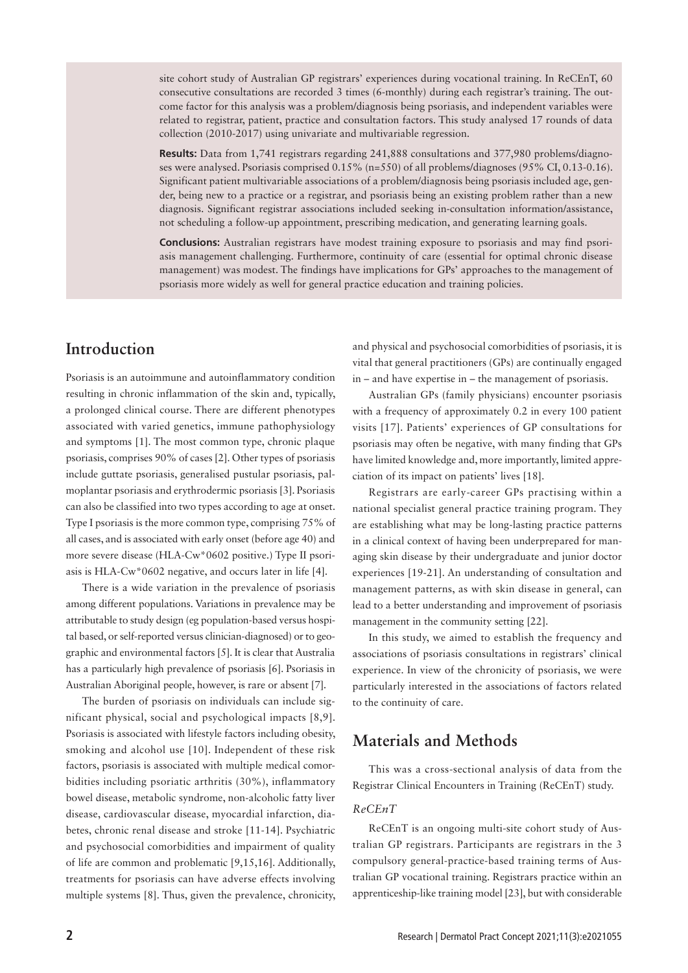site cohort study of Australian GP registrars' experiences during vocational training. In ReCEnT, 60 consecutive consultations are recorded 3 times (6-monthly) during each registrar's training. The outcome factor for this analysis was a problem/diagnosis being psoriasis, and independent variables were related to registrar, patient, practice and consultation factors. This study analysed 17 rounds of data collection (2010-2017) using univariate and multivariable regression.

**Results:** Data from 1,741 registrars regarding 241,888 consultations and 377,980 problems/diagnoses were analysed. Psoriasis comprised 0.15% (n=550) of all problems/diagnoses (95% CI, 0.13-0.16). Significant patient multivariable associations of a problem/diagnosis being psoriasis included age, gender, being new to a practice or a registrar, and psoriasis being an existing problem rather than a new diagnosis. Significant registrar associations included seeking in-consultation information/assistance, not scheduling a follow-up appointment, prescribing medication, and generating learning goals.

**Conclusions:** Australian registrars have modest training exposure to psoriasis and may find psoriasis management challenging. Furthermore, continuity of care (essential for optimal chronic disease management) was modest. The findings have implications for GPs' approaches to the management of psoriasis more widely as well for general practice education and training policies.

# **Introduction**

Psoriasis is an autoimmune and autoinflammatory condition resulting in chronic inflammation of the skin and, typically, a prolonged clinical course. There are different phenotypes associated with varied genetics, immune pathophysiology and symptoms [1]. The most common type, chronic plaque psoriasis, comprises 90% of cases [2]. Other types of psoriasis include guttate psoriasis, generalised pustular psoriasis, palmoplantar psoriasis and erythrodermic psoriasis [3]. Psoriasis can also be classified into two types according to age at onset. Type I psoriasis is the more common type, comprising 75% of all cases, and is associated with early onset (before age 40) and more severe disease (HLA-Cw\*0602 positive.) Type II psoriasis is HLA-Cw\*0602 negative, and occurs later in life [4].

There is a wide variation in the prevalence of psoriasis among different populations. Variations in prevalence may be attributable to study design (eg population-based versus hospital based, or self-reported versus clinician-diagnosed) or to geographic and environmental factors [5]. It is clear that Australia has a particularly high prevalence of psoriasis [6]. Psoriasis in Australian Aboriginal people, however, is rare or absent [7].

The burden of psoriasis on individuals can include significant physical, social and psychological impacts [8,9]. Psoriasis is associated with lifestyle factors including obesity, smoking and alcohol use [10]. Independent of these risk factors, psoriasis is associated with multiple medical comorbidities including psoriatic arthritis (30%), inflammatory bowel disease, metabolic syndrome, non-alcoholic fatty liver disease, cardiovascular disease, myocardial infarction, diabetes, chronic renal disease and stroke [11-14]. Psychiatric and psychosocial comorbidities and impairment of quality of life are common and problematic [9,15,16]. Additionally, treatments for psoriasis can have adverse effects involving multiple systems [8]. Thus, given the prevalence, chronicity, and physical and psychosocial comorbidities of psoriasis, it is vital that general practitioners (GPs) are continually engaged in – and have expertise in – the management of psoriasis.

Australian GPs (family physicians) encounter psoriasis with a frequency of approximately 0.2 in every 100 patient visits [17]. Patients' experiences of GP consultations for psoriasis may often be negative, with many finding that GPs have limited knowledge and, more importantly, limited appreciation of its impact on patients' lives [18].

Registrars are early-career GPs practising within a national specialist general practice training program. They are establishing what may be long-lasting practice patterns in a clinical context of having been underprepared for managing skin disease by their undergraduate and junior doctor experiences [19-21]. An understanding of consultation and management patterns, as with skin disease in general, can lead to a better understanding and improvement of psoriasis management in the community setting [22].

In this study, we aimed to establish the frequency and associations of psoriasis consultations in registrars' clinical experience. In view of the chronicity of psoriasis, we were particularly interested in the associations of factors related to the continuity of care.

# **Materials and Methods**

This was a cross-sectional analysis of data from the Registrar Clinical Encounters in Training (ReCEnT) study.

### *ReCEnT*

ReCEnT is an ongoing multi-site cohort study of Australian GP registrars. Participants are registrars in the 3 compulsory general-practice-based training terms of Australian GP vocational training. Registrars practice within an apprenticeship-like training model [23], but with considerable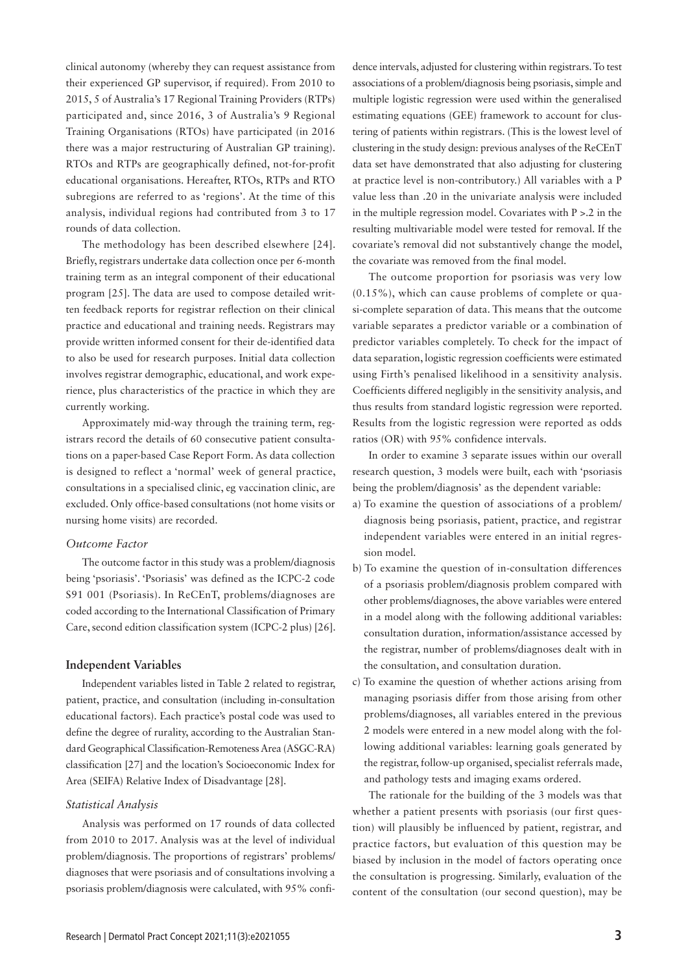clinical autonomy (whereby they can request assistance from their experienced GP supervisor, if required). From 2010 to 2015, 5 of Australia's 17 Regional Training Providers (RTPs) participated and, since 2016, 3 of Australia's 9 Regional Training Organisations (RTOs) have participated (in 2016 there was a major restructuring of Australian GP training). RTOs and RTPs are geographically defined, not-for-profit educational organisations. Hereafter, RTOs, RTPs and RTO subregions are referred to as 'regions'. At the time of this analysis, individual regions had contributed from 3 to 17 rounds of data collection.

The methodology has been described elsewhere [24]. Briefly, registrars undertake data collection once per 6-month training term as an integral component of their educational program [25]. The data are used to compose detailed written feedback reports for registrar reflection on their clinical practice and educational and training needs. Registrars may provide written informed consent for their de-identified data to also be used for research purposes. Initial data collection involves registrar demographic, educational, and work experience, plus characteristics of the practice in which they are currently working.

Approximately mid-way through the training term, registrars record the details of 60 consecutive patient consultations on a paper-based Case Report Form. As data collection is designed to reflect a 'normal' week of general practice, consultations in a specialised clinic, eg vaccination clinic, are excluded. Only office-based consultations (not home visits or nursing home visits) are recorded.

#### *Outcome Factor*

The outcome factor in this study was a problem/diagnosis being 'psoriasis'. 'Psoriasis' was defined as the ICPC-2 code S91 001 (Psoriasis). In ReCEnT, problems/diagnoses are coded according to the International Classification of Primary Care, second edition classification system (ICPC-2 plus) [26].

#### **Independent Variables**

Independent variables listed in Table 2 related to registrar, patient, practice, and consultation (including in-consultation educational factors). Each practice's postal code was used to define the degree of rurality, according to the Australian Standard Geographical Classification-Remoteness Area (ASGC-RA) classification [27] and the location's Socioeconomic Index for Area (SEIFA) Relative Index of Disadvantage [28].

#### *Statistical Analysis*

Analysis was performed on 17 rounds of data collected from 2010 to 2017. Analysis was at the level of individual problem/diagnosis. The proportions of registrars' problems/ diagnoses that were psoriasis and of consultations involving a psoriasis problem/diagnosis were calculated, with 95% confidence intervals, adjusted for clustering within registrars. To test associations of a problem/diagnosis being psoriasis, simple and multiple logistic regression were used within the generalised estimating equations (GEE) framework to account for clustering of patients within registrars. (This is the lowest level of clustering in the study design: previous analyses of the ReCEnT data set have demonstrated that also adjusting for clustering at practice level is non-contributory.) All variables with a P value less than .20 in the univariate analysis were included in the multiple regression model. Covariates with  $P > 0.2$  in the resulting multivariable model were tested for removal. If the covariate's removal did not substantively change the model, the covariate was removed from the final model.

The outcome proportion for psoriasis was very low (0.15%), which can cause problems of complete or quasi-complete separation of data. This means that the outcome variable separates a predictor variable or a combination of predictor variables completely. To check for the impact of data separation, logistic regression coefficients were estimated using Firth's penalised likelihood in a sensitivity analysis. Coefficients differed negligibly in the sensitivity analysis, and thus results from standard logistic regression were reported. Results from the logistic regression were reported as odds ratios (OR) with 95% confidence intervals.

In order to examine 3 separate issues within our overall research question, 3 models were built, each with 'psoriasis being the problem/diagnosis' as the dependent variable:

- a) To examine the question of associations of a problem/ diagnosis being psoriasis, patient, practice, and registrar independent variables were entered in an initial regression model.
- b) To examine the question of in-consultation differences of a psoriasis problem/diagnosis problem compared with other problems/diagnoses, the above variables were entered in a model along with the following additional variables: consultation duration, information/assistance accessed by the registrar, number of problems/diagnoses dealt with in the consultation, and consultation duration.
- c) To examine the question of whether actions arising from managing psoriasis differ from those arising from other problems/diagnoses, all variables entered in the previous 2 models were entered in a new model along with the following additional variables: learning goals generated by the registrar, follow-up organised, specialist referrals made, and pathology tests and imaging exams ordered.

The rationale for the building of the 3 models was that whether a patient presents with psoriasis (our first question) will plausibly be influenced by patient, registrar, and practice factors, but evaluation of this question may be biased by inclusion in the model of factors operating once the consultation is progressing. Similarly, evaluation of the content of the consultation (our second question), may be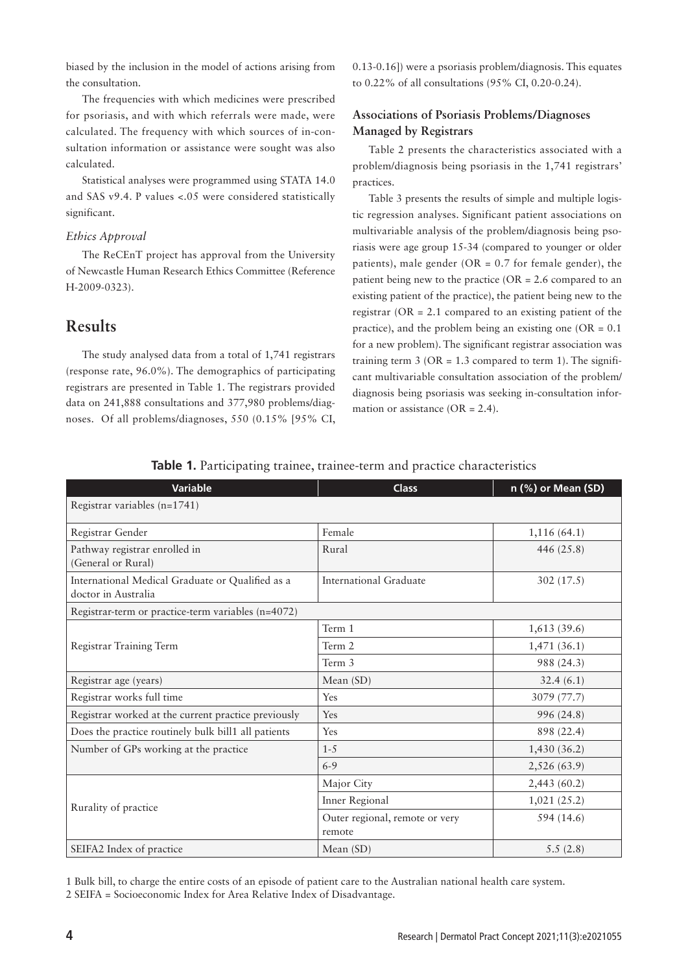biased by the inclusion in the model of actions arising from the consultation.

The frequencies with which medicines were prescribed for psoriasis, and with which referrals were made, were calculated. The frequency with which sources of in-consultation information or assistance were sought was also calculated.

Statistical analyses were programmed using STATA 14.0 and SAS v9.4. P values <.05 were considered statistically significant.

#### *Ethics Approval*

The ReCEnT project has approval from the University of Newcastle Human Research Ethics Committee (Reference H-2009-0323).

## **Results**

The study analysed data from a total of 1,741 registrars (response rate, 96.0%). The demographics of participating registrars are presented in Table 1. The registrars provided data on 241,888 consultations and 377,980 problems/diagnoses. Of all problems/diagnoses, 550 (0.15% [95% CI,

0.13-0.16]) were a psoriasis problem/diagnosis. This equates to 0.22% of all consultations (95% CI, 0.20-0.24).

## **Associations of Psoriasis Problems/Diagnoses Managed by Registrars**

Table 2 presents the characteristics associated with a problem/diagnosis being psoriasis in the 1,741 registrars' practices.

Table 3 presents the results of simple and multiple logistic regression analyses. Significant patient associations on multivariable analysis of the problem/diagnosis being psoriasis were age group 15-34 (compared to younger or older patients), male gender ( $OR = 0.7$  for female gender), the patient being new to the practice ( $OR = 2.6$  compared to an existing patient of the practice), the patient being new to the registrar ( $OR = 2.1$  compared to an existing patient of the practice), and the problem being an existing one ( $OR = 0.1$ ) for a new problem). The significant registrar association was training term  $3$  (OR = 1.3 compared to term 1). The significant multivariable consultation association of the problem/ diagnosis being psoriasis was seeking in-consultation information or assistance ( $OR = 2.4$ ).

| <b>Variable</b>                                                         | <b>Class</b>                             | n (%) or Mean (SD) |
|-------------------------------------------------------------------------|------------------------------------------|--------------------|
| Registrar variables (n=1741)                                            |                                          |                    |
| Registrar Gender                                                        | Female                                   | 1,116(64.1)        |
| Pathway registrar enrolled in<br>(General or Rural)                     | Rural                                    | 446 (25.8)         |
| International Medical Graduate or Qualified as a<br>doctor in Australia | <b>International Graduate</b>            | 302(17.5)          |
| Registrar-term or practice-term variables (n=4072)                      |                                          |                    |
|                                                                         | Term 1                                   | 1,613(39.6)        |
| Registrar Training Term                                                 | Term 2                                   | 1,471(36.1)        |
|                                                                         | Term 3                                   | 988 (24.3)         |
| Registrar age (years)                                                   | Mean (SD)                                | 32.4(6.1)          |
| Registrar works full time                                               | Yes                                      | 3079 (77.7)        |
| Registrar worked at the current practice previously                     | Yes                                      | 996 (24.8)         |
| Does the practice routinely bulk bill1 all patients                     | Yes                                      | 898 (22.4)         |
| Number of GPs working at the practice                                   | $1 - 5$                                  | 1,430(36.2)        |
|                                                                         | $6 - 9$                                  | 2,526 (63.9)       |
|                                                                         | Major City                               | 2,443 (60.2)       |
| Rurality of practice                                                    | Inner Regional                           | 1,021(25.2)        |
|                                                                         | Outer regional, remote or very<br>remote | 594 (14.6)         |
| SEIFA2 Index of practice                                                | Mean $(SD)$                              | 5.5(2.8)           |

**Table 1.** Participating trainee, trainee-term and practice characteristics

1 Bulk bill, to charge the entire costs of an episode of patient care to the Australian national health care system. 2 SEIFA = Socioeconomic Index for Area Relative Index of Disadvantage.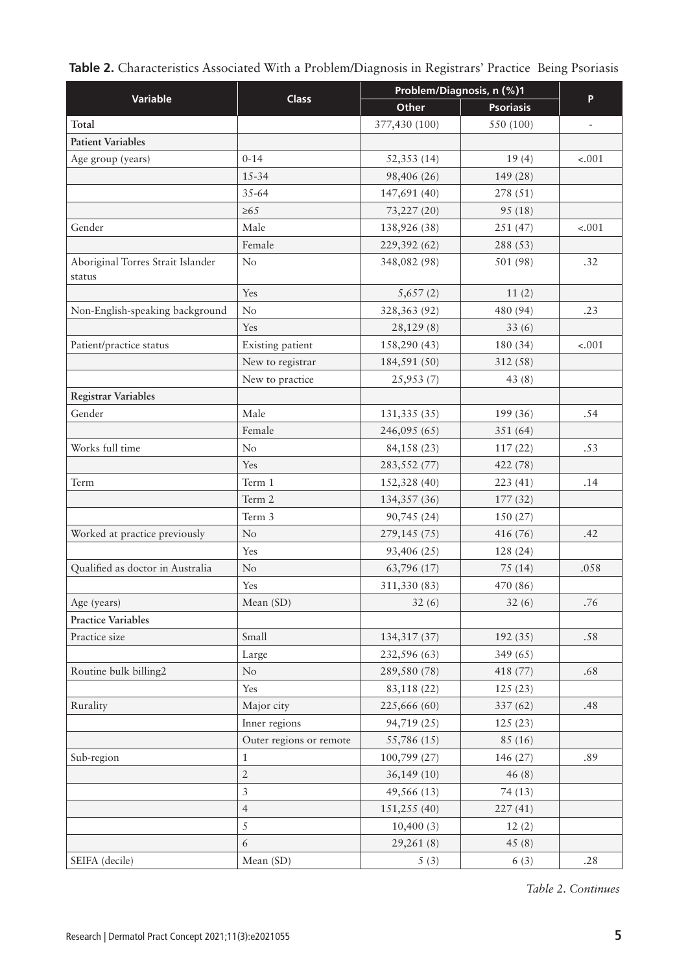|  | Table 2. Characteristics Associated With a Problem/Diagnosis in Registrars' Practice Being Psoriasis |  |  |  |  |  |  |  |  |
|--|------------------------------------------------------------------------------------------------------|--|--|--|--|--|--|--|--|
|--|------------------------------------------------------------------------------------------------------|--|--|--|--|--|--|--|--|

|                                             | Problem/Diagnosis, n (%)1 |               |                  |                          |
|---------------------------------------------|---------------------------|---------------|------------------|--------------------------|
| <b>Variable</b>                             | <b>Class</b>              | Other         | <b>Psoriasis</b> | P                        |
| Total                                       |                           | 377,430 (100) | 550 (100)        | $\overline{\phantom{m}}$ |
| <b>Patient Variables</b>                    |                           |               |                  |                          |
| Age group (years)                           | $0 - 14$                  | 52,353 (14)   | 19(4)            | $-.001$                  |
|                                             | $15 - 34$                 | 98,406 (26)   | 149 (28)         |                          |
|                                             | 35-64                     | 147,691 (40)  | 278 (51)         |                          |
|                                             | $\geq 65$                 | 73,227 (20)   | 95(18)           |                          |
| Gender                                      | Male                      | 138,926 (38)  | 251 (47)         | $-.001$                  |
|                                             | Female                    | 229,392 (62)  | 288 (53)         |                          |
| Aboriginal Torres Strait Islander<br>status | No                        | 348,082 (98)  | 501 (98)         | .32                      |
|                                             | Yes                       | 5,657(2)      | 11(2)            |                          |
| Non-English-speaking background             | No                        | 328,363 (92)  | 480 (94)         | .23                      |
|                                             | Yes                       | 28,129(8)     | 33(6)            |                          |
| Patient/practice status                     | Existing patient          | 158,290 (43)  | 180 (34)         | $-.001$                  |
|                                             | New to registrar          | 184,591 (50)  | 312(58)          |                          |
|                                             | New to practice           | 25,953 (7)    | 43 $(8)$         |                          |
| <b>Registrar Variables</b>                  |                           |               |                  |                          |
| Gender                                      | Male                      | 131,335 (35)  | 199 (36)         | .54                      |
|                                             | Female                    | 246,095 (65)  | 351(64)          |                          |
| Works full time                             | No                        | 84,158 (23)   | 117(22)          | .53                      |
|                                             | Yes                       | 283,552 (77)  | 422 (78)         |                          |
| Term                                        | Term 1                    | 152,328 (40)  | 223(41)          | .14                      |
|                                             | Term 2                    | 134,357 (36)  | 177(32)          |                          |
|                                             | Term 3                    | 90,745 (24)   | 150(27)          |                          |
| Worked at practice previously               | N <sub>o</sub>            | 279,145 (75)  | 416 (76)         | .42                      |
|                                             | Yes                       | 93,406 (25)   | 128 (24)         |                          |
| Qualified as doctor in Australia            | $\rm No$                  | 63,796 (17)   | 75(14)           | .058                     |
|                                             | Yes                       | 311,330 (83)  | 470 (86)         |                          |
| Age (years)                                 | Mean (SD)                 | 32(6)         | 32(6)            | .76                      |
| <b>Practice Variables</b>                   |                           |               |                  |                          |
| Practice size                               | Small                     | 134,317 (37)  | 192(35)          | .58                      |
|                                             | Large                     | 232,596 (63)  | 349(65)          |                          |
| Routine bulk billing2                       | $\rm No$                  | 289,580 (78)  | 418 (77)         | .68                      |
|                                             | Yes                       | 83,118 (22)   | 125(23)          |                          |
| Rurality                                    | Major city                | 225,666 (60)  | 337 (62)         | .48                      |
|                                             | Inner regions             | 94,719 (25)   | 125(23)          |                          |
|                                             | Outer regions or remote   | 55,786 (15)   | 85 (16)          |                          |
| Sub-region                                  | $\mathbf{1}$              | 100,799 (27)  | 146 (27)         | .89                      |
|                                             | $\overline{2}$            | 36,149(10)    | 46(8)            |                          |
|                                             | $\overline{3}$            | 49,566 (13)   | 74(13)           |                          |
|                                             | $\overline{4}$            | 151,255 (40)  | 227(41)          |                          |
|                                             | 5                         | 10,400(3)     | 12(2)            |                          |
|                                             | 6                         | 29,261(8)     | 45(8)            |                          |
| SEIFA (decile)                              | Mean (SD)                 | 5(3)          | 6(3)             | .28                      |

*Table 2. Continues*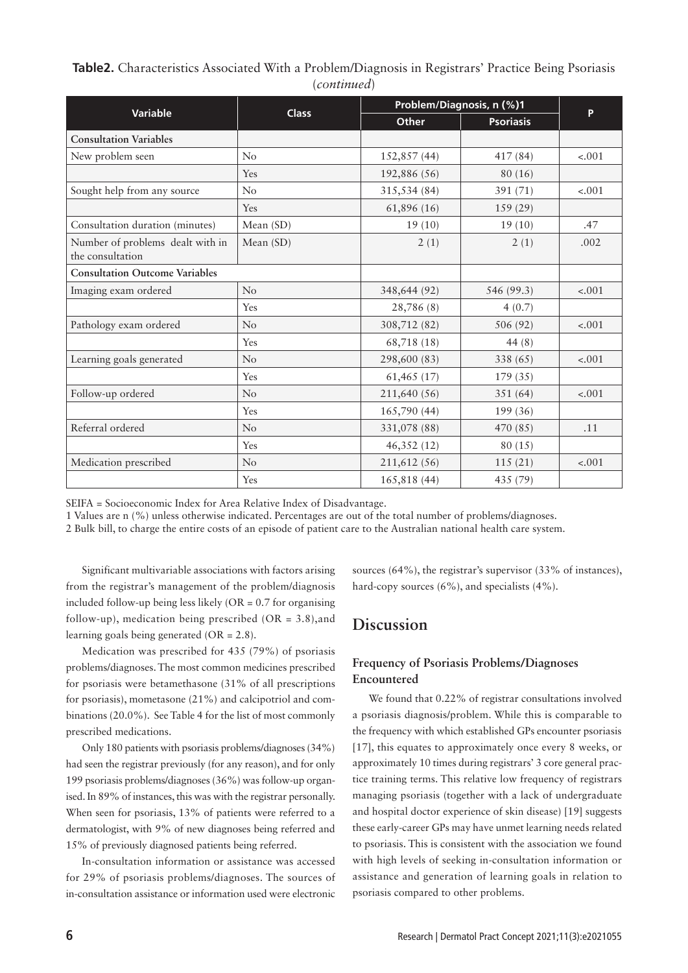## **Table2.** Characteristics Associated With a Problem/Diagnosis in Registrars' Practice Being Psoriasis (*continued*)

|                                                      |              | Problem/Diagnosis, n (%)1 |                  |         |
|------------------------------------------------------|--------------|---------------------------|------------------|---------|
| <b>Variable</b>                                      | <b>Class</b> | <b>Other</b>              | <b>Psoriasis</b> | P       |
| <b>Consultation Variables</b>                        |              |                           |                  |         |
| New problem seen                                     | No           | 152,857 (44)              | 417 (84)         | $-.001$ |
|                                                      | Yes          | 192,886 (56)              | 80(16)           |         |
| Sought help from any source                          | No           | 315,534 (84)              | 391 (71)         | $-.001$ |
|                                                      | Yes          | 61,896 (16)               | 159 (29)         |         |
| Consultation duration (minutes)                      | Mean (SD)    | 19(10)                    | 19(10)           | .47     |
| Number of problems dealt with in<br>the consultation | Mean (SD)    | 2(1)                      | 2(1)             | .002    |
| <b>Consultation Outcome Variables</b>                |              |                           |                  |         |
| Imaging exam ordered                                 | No           | 348,644 (92)              | 546 (99.3)       | $-.001$ |
|                                                      | Yes          | 28,786 (8)                | 4(0.7)           |         |
| Pathology exam ordered                               | No           | 308,712 (82)              | 506 (92)         | $-.001$ |
|                                                      | Yes          | 68,718 (18)               | 44 $(8)$         |         |
| Learning goals generated                             | No           | 298,600 (83)              | 338 (65)         | $-.001$ |
|                                                      | Yes          | 61,465 (17)               | 179(35)          |         |
| Follow-up ordered                                    | No           | 211,640 (56)              | 351 (64)         | $-.001$ |
|                                                      | <b>Yes</b>   | 165,790 (44)              | 199 (36)         |         |
| Referral ordered                                     | No           | 331,078 (88)              | 470 (85)         | .11     |
|                                                      | Yes          | 46,352(12)                | 80(15)           |         |
| Medication prescribed                                | No           | 211,612 (56)              | 115(21)          | $-.001$ |
|                                                      | Yes          | 165,818 (44)              | 435 (79)         |         |

SEIFA = Socioeconomic Index for Area Relative Index of Disadvantage.

1 Values are n (%) unless otherwise indicated. Percentages are out of the total number of problems/diagnoses.

2 Bulk bill, to charge the entire costs of an episode of patient care to the Australian national health care system.

Significant multivariable associations with factors arising from the registrar's management of the problem/diagnosis included follow-up being less likely  $(OR = 0.7$  for organising follow-up), medication being prescribed (OR = 3.8),and learning goals being generated (OR = 2.8).

Medication was prescribed for 435 (79%) of psoriasis problems/diagnoses. The most common medicines prescribed for psoriasis were betamethasone (31% of all prescriptions for psoriasis), mometasone (21%) and calcipotriol and combinations (20.0%). See Table 4 for the list of most commonly prescribed medications.

Only 180 patients with psoriasis problems/diagnoses (34%) had seen the registrar previously (for any reason), and for only 199 psoriasis problems/diagnoses (36%) was follow-up organised. In 89% of instances, this was with the registrar personally. When seen for psoriasis, 13% of patients were referred to a dermatologist, with 9% of new diagnoses being referred and 15% of previously diagnosed patients being referred.

In-consultation information or assistance was accessed for 29% of psoriasis problems/diagnoses. The sources of in-consultation assistance or information used were electronic

sources (64%), the registrar's supervisor (33% of instances), hard-copy sources (6%), and specialists (4%).

## **Discussion**

## **Frequency of Psoriasis Problems/Diagnoses Encountered**

We found that 0.22% of registrar consultations involved a psoriasis diagnosis/problem. While this is comparable to the frequency with which established GPs encounter psoriasis [17], this equates to approximately once every 8 weeks, or approximately 10 times during registrars' 3 core general practice training terms. This relative low frequency of registrars managing psoriasis (together with a lack of undergraduate and hospital doctor experience of skin disease) [19] suggests these early-career GPs may have unmet learning needs related to psoriasis. This is consistent with the association we found with high levels of seeking in-consultation information or assistance and generation of learning goals in relation to psoriasis compared to other problems.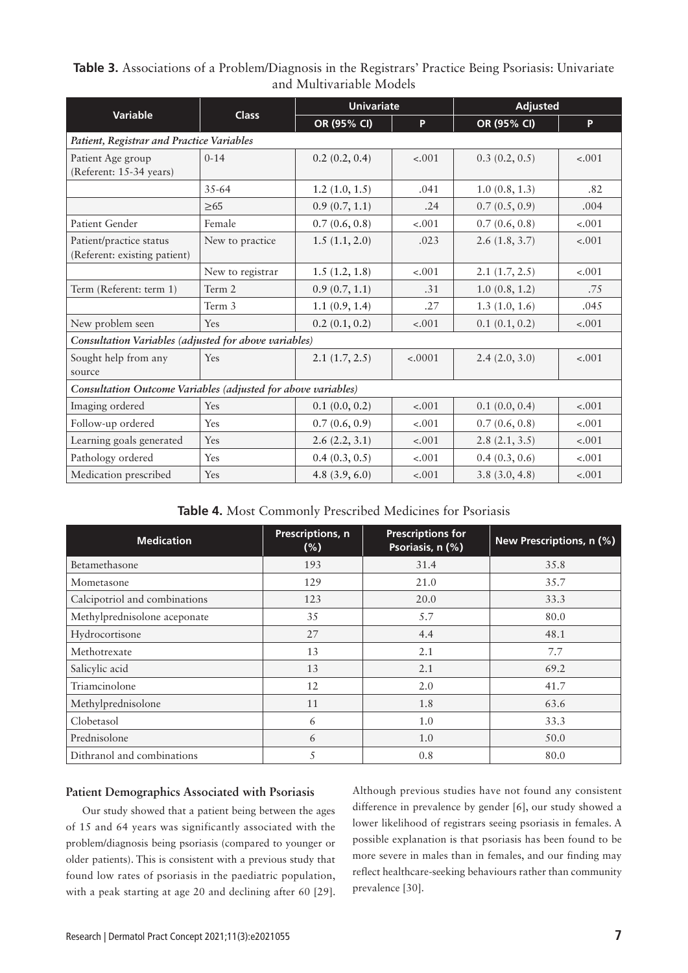| Table 3. Associations of a Problem/Diagnosis in the Registrars' Practice Being Psoriasis: Univariate |  |
|------------------------------------------------------------------------------------------------------|--|
| and Multivariable Models                                                                             |  |

| <b>Variable</b>                                               | <b>Class</b>     | <b>Univariate</b> |          | <b>Adjusted</b> |         |
|---------------------------------------------------------------|------------------|-------------------|----------|-----------------|---------|
|                                                               |                  | OR (95% CI)       | P        | OR (95% CI)     | P       |
| Patient, Registrar and Practice Variables                     |                  |                   |          |                 |         |
| Patient Age group<br>(Referent: 15-34 years)                  | $0 - 14$         | 0.2(0.2, 0.4)     | $-.001$  | 0.3(0.2, 0.5)   | $-.001$ |
|                                                               | $35 - 64$        | 1.2(1.0, 1.5)     | .041     | 1.0(0.8, 1.3)   | .82     |
|                                                               | $\geq 65$        | 0.9(0.7, 1.1)     | .24      | 0.7(0.5, 0.9)   | .004    |
| Patient Gender                                                | Female           | 0.7(0.6, 0.8)     | $-.001$  | 0.7(0.6, 0.8)   | $-.001$ |
| Patient/practice status<br>(Referent: existing patient)       | New to practice  | 1.5(1.1, 2.0)     | .023     | 2.6(1.8, 3.7)   | $-.001$ |
|                                                               | New to registrar | 1.5(1.2, 1.8)     | $-.001$  | 2.1(1.7, 2.5)   | $-.001$ |
| Term (Referent: term 1)                                       | Term 2           | 0.9(0.7, 1.1)     | .31      | 1.0(0.8, 1.2)   | .75     |
|                                                               | Term 3           | 1.1(0.9, 1.4)     | .27      | 1.3(1.0, 1.6)   | .045    |
| New problem seen                                              | Yes              | 0.2(0.1, 0.2)     | $-.001$  | 0.1(0.1, 0.2)   | $-.001$ |
| Consultation Variables (adjusted for above variables)         |                  |                   |          |                 |         |
| Sought help from any<br>source                                | Yes              | 2.1(1.7, 2.5)     | $-.0001$ | 2.4(2.0, 3.0)   | $-.001$ |
| Consultation Outcome Variables (adjusted for above variables) |                  |                   |          |                 |         |
| Imaging ordered                                               | Yes              | 0.1(0.0, 0.2)     | $-.001$  | 0.1(0.0, 0.4)   | $-.001$ |
| Follow-up ordered                                             | Yes              | 0.7(0.6, 0.9)     | $-.001$  | 0.7(0.6, 0.8)   | $-.001$ |
| Learning goals generated                                      | Yes              | 2.6(2.2, 3.1)     | $-.001$  | 2.8(2.1, 3.5)   | $-.001$ |
| Pathology ordered                                             | Yes              | 0.4(0.3, 0.5)     | $-.001$  | 0.4(0.3, 0.6)   | $-.001$ |
| Medication prescribed                                         | Yes              | 4.8 $(3.9, 6.0)$  | $-.001$  | 3.8(3.0, 4.8)   | $-.001$ |

**Table 4.** Most Commonly Prescribed Medicines for Psoriasis

| <b>Medication</b>             | Prescriptions, n<br>$(\%)$ | <b>Prescriptions for</b><br>Psoriasis, n (%) | New Prescriptions, n (%) |
|-------------------------------|----------------------------|----------------------------------------------|--------------------------|
| Betamethasone                 | 193                        | 31.4                                         | 35.8                     |
| Mometasone                    | 129                        | 21.0                                         | 35.7                     |
| Calcipotriol and combinations | 123                        | 20.0                                         | 33.3                     |
| Methylprednisolone aceponate  | 35                         | 5.7                                          | 80.0                     |
| Hydrocortisone                | 27                         | 4.4                                          | 48.1                     |
| Methotrexate                  | 13                         | 2.1                                          | 7.7                      |
| Salicylic acid                | 13                         | 2.1                                          | 69.2                     |
| Triamcinolone                 | 12                         | 2.0                                          | 41.7                     |
| Methylprednisolone            | 11                         | 1.8                                          | 63.6                     |
| Clobetasol                    | 6                          | 1.0                                          | 33.3                     |
| Prednisolone                  | 6                          | 1.0                                          | 50.0                     |
| Dithranol and combinations    | 5                          | 0.8                                          | 80.0                     |

### **Patient Demographics Associated with Psoriasis**

Our study showed that a patient being between the ages of 15 and 64 years was significantly associated with the problem/diagnosis being psoriasis (compared to younger or older patients). This is consistent with a previous study that found low rates of psoriasis in the paediatric population, with a peak starting at age 20 and declining after 60 [29]. Although previous studies have not found any consistent difference in prevalence by gender [6], our study showed a lower likelihood of registrars seeing psoriasis in females. A possible explanation is that psoriasis has been found to be more severe in males than in females, and our finding may reflect healthcare-seeking behaviours rather than community prevalence [30].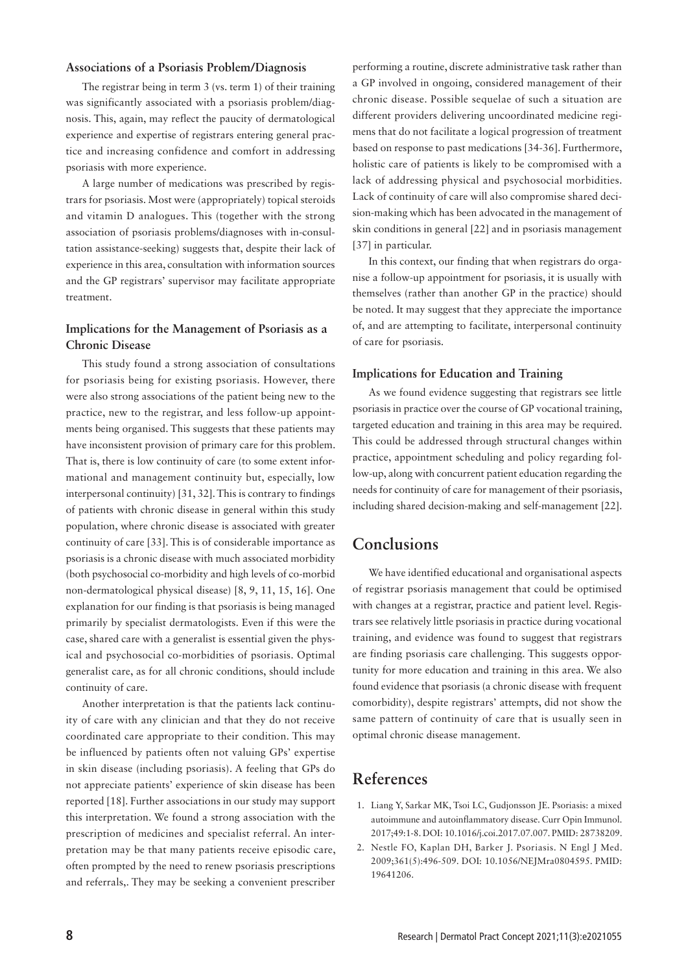#### **Associations of a Psoriasis Problem/Diagnosis**

The registrar being in term 3 (vs. term 1) of their training was significantly associated with a psoriasis problem/diagnosis. This, again, may reflect the paucity of dermatological experience and expertise of registrars entering general practice and increasing confidence and comfort in addressing psoriasis with more experience.

A large number of medications was prescribed by registrars for psoriasis. Most were (appropriately) topical steroids and vitamin D analogues. This (together with the strong association of psoriasis problems/diagnoses with in-consultation assistance-seeking) suggests that, despite their lack of experience in this area, consultation with information sources and the GP registrars' supervisor may facilitate appropriate treatment.

## **Implications for the Management of Psoriasis as a Chronic Disease**

This study found a strong association of consultations for psoriasis being for existing psoriasis. However, there were also strong associations of the patient being new to the practice, new to the registrar, and less follow-up appointments being organised. This suggests that these patients may have inconsistent provision of primary care for this problem. That is, there is low continuity of care (to some extent informational and management continuity but, especially, low interpersonal continuity) [31, 32]. This is contrary to findings of patients with chronic disease in general within this study population, where chronic disease is associated with greater continuity of care [33]. This is of considerable importance as psoriasis is a chronic disease with much associated morbidity (both psychosocial co-morbidity and high levels of co-morbid non-dermatological physical disease) [8, 9, 11, 15, 16]. One explanation for our finding is that psoriasis is being managed primarily by specialist dermatologists. Even if this were the case, shared care with a generalist is essential given the physical and psychosocial co-morbidities of psoriasis. Optimal generalist care, as for all chronic conditions, should include continuity of care.

Another interpretation is that the patients lack continuity of care with any clinician and that they do not receive coordinated care appropriate to their condition. This may be influenced by patients often not valuing GPs' expertise in skin disease (including psoriasis). A feeling that GPs do not appreciate patients' experience of skin disease has been reported [18]. Further associations in our study may support this interpretation. We found a strong association with the prescription of medicines and specialist referral. An interpretation may be that many patients receive episodic care, often prompted by the need to renew psoriasis prescriptions and referrals,. They may be seeking a convenient prescriber

performing a routine, discrete administrative task rather than a GP involved in ongoing, considered management of their chronic disease. Possible sequelae of such a situation are different providers delivering uncoordinated medicine regimens that do not facilitate a logical progression of treatment based on response to past medications [34-36]. Furthermore, holistic care of patients is likely to be compromised with a lack of addressing physical and psychosocial morbidities. Lack of continuity of care will also compromise shared decision-making which has been advocated in the management of skin conditions in general [22] and in psoriasis management [37] in particular.

In this context, our finding that when registrars do organise a follow-up appointment for psoriasis, it is usually with themselves (rather than another GP in the practice) should be noted. It may suggest that they appreciate the importance of, and are attempting to facilitate, interpersonal continuity of care for psoriasis.

#### **Implications for Education and Training**

As we found evidence suggesting that registrars see little psoriasis in practice over the course of GP vocational training, targeted education and training in this area may be required. This could be addressed through structural changes within practice, appointment scheduling and policy regarding follow-up, along with concurrent patient education regarding the needs for continuity of care for management of their psoriasis, including shared decision-making and self-management [22].

## **Conclusions**

We have identified educational and organisational aspects of registrar psoriasis management that could be optimised with changes at a registrar, practice and patient level. Registrars see relatively little psoriasis in practice during vocational training, and evidence was found to suggest that registrars are finding psoriasis care challenging. This suggests opportunity for more education and training in this area. We also found evidence that psoriasis (a chronic disease with frequent comorbidity), despite registrars' attempts, did not show the same pattern of continuity of care that is usually seen in optimal chronic disease management.

# **References**

- 1. Liang Y, Sarkar MK, Tsoi LC, Gudjonsson JE. Psoriasis: a mixed autoimmune and autoinflammatory disease. Curr Opin Immunol. 2017;49:1-8. DOI: 10.1016/j.coi.2017.07.007. PMID: 28738209.
- 2. Nestle FO, Kaplan DH, Barker J. Psoriasis. N Engl J Med. 2009;361(5):496-509. DOI: 10.1056/NEJMra0804595. PMID: 19641206.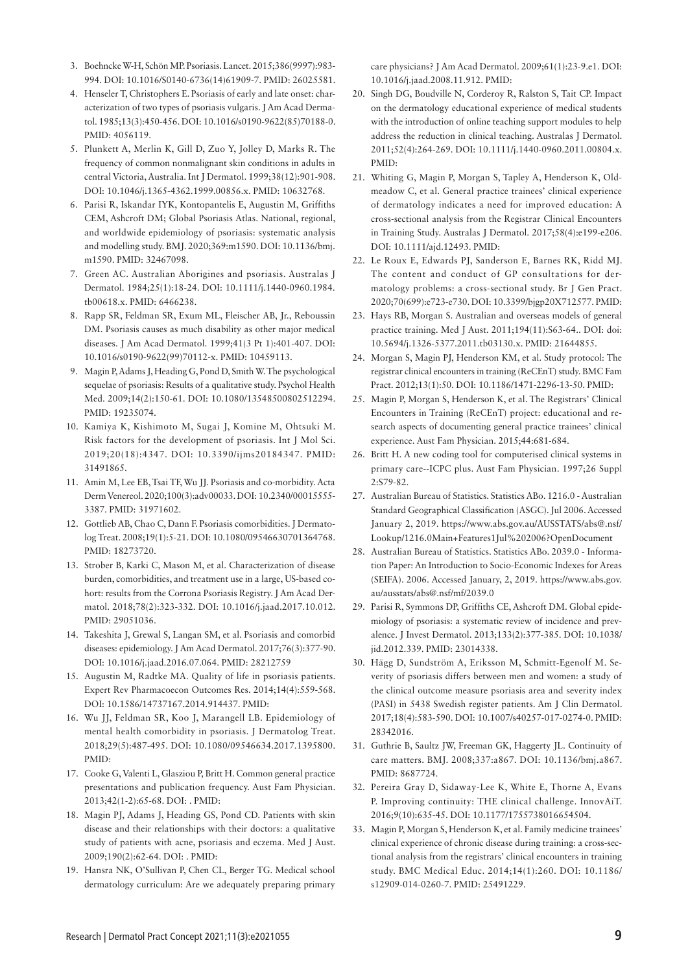- 3. Boehncke W-H, Schön MP. Psoriasis. Lancet. 2015;386(9997):983- 994. DOI: 10.1016/S0140-6736(14)61909-7. PMID: 26025581.
- 4. Henseler T, Christophers E. Psoriasis of early and late onset: characterization of two types of psoriasis vulgaris. J Am Acad Dermatol. 1985;13(3):450-456. DOI: 10.1016/s0190-9622(85)70188-0. PMID: 4056119.
- 5. Plunkett A, Merlin K, Gill D, Zuo Y, Jolley D, Marks R. The frequency of common nonmalignant skin conditions in adults in central Victoria, Australia. Int J Dermatol. 1999;38(12):901-908. DOI: 10.1046/j.1365-4362.1999.00856.x. PMID: 10632768.
- 6. Parisi R, Iskandar IYK, Kontopantelis E, Augustin M, Griffiths CEM, Ashcroft DM; Global Psoriasis Atlas. National, regional, and worldwide epidemiology of psoriasis: systematic analysis and modelling study. BMJ. 2020;369:m1590. DOI: 10.1136/bmj. m1590. PMID: 32467098.
- 7. Green AC. Australian Aborigines and psoriasis. Australas J Dermatol. 1984;25(1):18-24. DOI: 10.1111/j.1440-0960.1984. tb00618.x. PMID: 6466238.
- 8. Rapp SR, Feldman SR, Exum ML, Fleischer AB, Jr., Reboussin DM. Psoriasis causes as much disability as other major medical diseases. J Am Acad Dermatol. 1999;41(3 Pt 1):401-407. DOI: 10.1016/s0190-9622(99)70112-x. PMID: 10459113.
- 9. Magin P, Adams J, Heading G, Pond D, Smith W. The psychological sequelae of psoriasis: Results of a qualitative study. Psychol Health Med. 2009;14(2):150-61. DOI: 10.1080/13548500802512294. PMID: 19235074.
- 10. Kamiya K, Kishimoto M, Sugai J, Komine M, Ohtsuki M. Risk factors for the development of psoriasis. Int J Mol Sci. 2019;20(18):4347. DOI: 10.3390/ijms20184347. PMID: 31491865.
- 11. Amin M, Lee EB, Tsai TF, Wu JJ. Psoriasis and co-morbidity. Acta Derm Venereol. 2020;100(3):adv00033. DOI: 10.2340/00015555- 3387. PMID: 31971602.
- 12. Gottlieb AB, Chao C, Dann F. Psoriasis comorbidities. J Dermatolog Treat. 2008;19(1):5-21. DOI: 10.1080/09546630701364768. PMID: 18273720.
- 13. Strober B, Karki C, Mason M, et al. Characterization of disease burden, comorbidities, and treatment use in a large, US-based cohort: results from the Corrona Psoriasis Registry. J Am Acad Dermatol. 2018;78(2):323-332. DOI: 10.1016/j.jaad.2017.10.012. PMID: 29051036.
- 14. Takeshita J, Grewal S, Langan SM, et al. Psoriasis and comorbid diseases: epidemiology. J Am Acad Dermatol. 2017;76(3):377-90. DOI: 10.1016/j.jaad.2016.07.064. PMID: 28212759
- 15. Augustin M, Radtke MA. Quality of life in psoriasis patients. Expert Rev Pharmacoecon Outcomes Res. 2014;14(4):559-568. DOI: 10.1586/14737167.2014.914437. PMID:
- 16. Wu JJ, Feldman SR, Koo J, Marangell LB. Epidemiology of mental health comorbidity in psoriasis. J Dermatolog Treat. 2018;29(5):487-495. DOI: 10.1080/09546634.2017.1395800. PMID:
- 17. Cooke G, Valenti L, Glasziou P, Britt H. Common general practice presentations and publication frequency. Aust Fam Physician. 2013;42(1-2):65-68. DOI: . PMID:
- 18. Magin PJ, Adams J, Heading GS, Pond CD. Patients with skin disease and their relationships with their doctors: a qualitative study of patients with acne, psoriasis and eczema. Med J Aust. 2009;190(2):62-64. DOI: . PMID:
- 19. Hansra NK, O'Sullivan P, Chen CL, Berger TG. Medical school dermatology curriculum: Are we adequately preparing primary

care physicians? J Am Acad Dermatol. 2009;61(1):23-9.e1. DOI: 10.1016/j.jaad.2008.11.912. PMID:

- 20. Singh DG, Boudville N, Corderoy R, Ralston S, Tait CP. Impact on the dermatology educational experience of medical students with the introduction of online teaching support modules to help address the reduction in clinical teaching. Australas J Dermatol. 2011;52(4):264-269. DOI: 10.1111/j.1440-0960.2011.00804.x. PMID:
- 21. Whiting G, Magin P, Morgan S, Tapley A, Henderson K, Oldmeadow C, et al. General practice trainees' clinical experience of dermatology indicates a need for improved education: A cross-sectional analysis from the Registrar Clinical Encounters in Training Study. Australas J Dermatol. 2017;58(4):e199-e206. DOI: 10.1111/ajd.12493. PMID:
- 22. Le Roux E, Edwards PJ, Sanderson E, Barnes RK, Ridd MJ. The content and conduct of GP consultations for dermatology problems: a cross-sectional study. Br J Gen Pract. 2020;70(699):e723-e730. DOI: 10.3399/bjgp20X712577. PMID:
- 23. Hays RB, Morgan S. Australian and overseas models of general practice training. Med J Aust. 2011;194(11):S63-64.. DOI: doi: 10.5694/j.1326-5377.2011.tb03130.x. PMID: 21644855.
- 24. Morgan S, Magin PJ, Henderson KM, et al. Study protocol: The registrar clinical encounters in training (ReCEnT) study. BMC Fam Pract. 2012;13(1):50. DOI: 10.1186/1471-2296-13-50. PMID:
- 25. Magin P, Morgan S, Henderson K, et al. The Registrars' Clinical Encounters in Training (ReCEnT) project: educational and research aspects of documenting general practice trainees' clinical experience. Aust Fam Physician. 2015;44:681-684.
- 26. Britt H. A new coding tool for computerised clinical systems in primary care--ICPC plus. Aust Fam Physician. 1997;26 Suppl 2:S79-82.
- 27. Australian Bureau of Statistics. Statistics ABo. 1216.0 Australian Standard Geographical Classification (ASGC). Jul 2006. Accessed January 2, 2019. https://www.abs.gov.au/AUSSTATS/abs@.nsf/ Lookup/1216.0Main+Features1Jul%202006?OpenDocument
- 28. Australian Bureau of Statistics. Statistics ABo. 2039.0 Information Paper: An Introduction to Socio-Economic Indexes for Areas (SEIFA). 2006. Accessed January, 2, 2019. https://www.abs.gov. au/ausstats/abs@.nsf/mf/2039.0
- 29. Parisi R, Symmons DP, Griffiths CE, Ashcroft DM. Global epidemiology of psoriasis: a systematic review of incidence and prevalence. J Invest Dermatol. 2013;133(2):377-385. DOI: 10.1038/ jid.2012.339. PMID: 23014338.
- 30. Hägg D, Sundström A, Eriksson M, Schmitt-Egenolf M. Severity of psoriasis differs between men and women: a study of the clinical outcome measure psoriasis area and severity index (PASI) in 5438 Swedish register patients. Am J Clin Dermatol. 2017;18(4):583-590. DOI: 10.1007/s40257-017-0274-0. PMID: 28342016.
- 31. Guthrie B, Saultz JW, Freeman GK, Haggerty JL. Continuity of care matters. BMJ. 2008;337:a867. DOI: 10.1136/bmj.a867. PMID: 8687724.
- 32. Pereira Gray D, Sidaway-Lee K, White E, Thorne A, Evans P. Improving continuity: THE clinical challenge. InnovAiT. 2016;9(10):635-45. DOI: 10.1177/1755738016654504.
- 33. Magin P, Morgan S, Henderson K, et al. Family medicine trainees' clinical experience of chronic disease during training: a cross-sectional analysis from the registrars' clinical encounters in training study. BMC Medical Educ. 2014;14(1):260. DOI: 10.1186/ s12909-014-0260-7. PMID: 25491229.